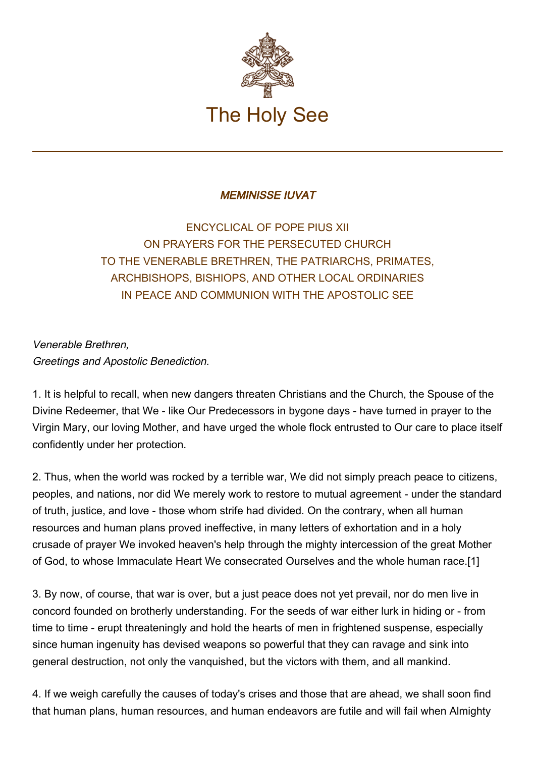

## MEMINISSE IUVAT

ENCYCLICAL OF POPE PIUS XII ON PRAYERS FOR THE PERSECUTED CHURCH TO THE VENERABLE BRETHREN, THE PATRIARCHS, PRIMATES, ARCHBISHOPS, BISHIOPS, AND OTHER LOCAL ORDINARIES IN PEACE AND COMMUNION WITH THE APOSTOLIC SEE

Venerable Brethren, Greetings and Apostolic Benediction.

1. It is helpful to recall, when new dangers threaten Christians and the Church, the Spouse of the Divine Redeemer, that We - like Our Predecessors in bygone days - have turned in prayer to the Virgin Mary, our loving Mother, and have urged the whole flock entrusted to Our care to place itself confidently under her protection.

2. Thus, when the world was rocked by a terrible war, We did not simply preach peace to citizens, peoples, and nations, nor did We merely work to restore to mutual agreement - under the standard of truth, justice, and love - those whom strife had divided. On the contrary, when all human resources and human plans proved ineffective, in many letters of exhortation and in a holy crusade of prayer We invoked heaven's help through the mighty intercession of the great Mother of God, to whose Immaculate Heart We consecrated Ourselves and the whole human race.[1]

3. By now, of course, that war is over, but a just peace does not yet prevail, nor do men live in concord founded on brotherly understanding. For the seeds of war either lurk in hiding or - from time to time - erupt threateningly and hold the hearts of men in frightened suspense, especially since human ingenuity has devised weapons so powerful that they can ravage and sink into general destruction, not only the vanquished, but the victors with them, and all mankind.

4. If we weigh carefully the causes of today's crises and those that are ahead, we shall soon find that human plans, human resources, and human endeavors are futile and will fail when Almighty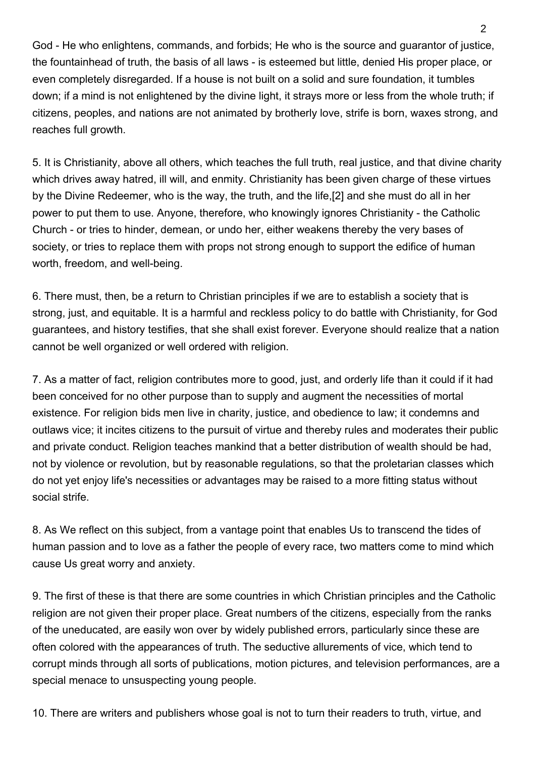God - He who enlightens, commands, and forbids; He who is the source and guarantor of justice, the fountainhead of truth, the basis of all laws - is esteemed but little, denied His proper place, or even completely disregarded. If a house is not built on a solid and sure foundation, it tumbles down; if a mind is not enlightened by the divine light, it strays more or less from the whole truth; if citizens, peoples, and nations are not animated by brotherly love, strife is born, waxes strong, and reaches full growth.

5. It is Christianity, above all others, which teaches the full truth, real justice, and that divine charity which drives away hatred, ill will, and enmity. Christianity has been given charge of these virtues by the Divine Redeemer, who is the way, the truth, and the life,[2] and she must do all in her power to put them to use. Anyone, therefore, who knowingly ignores Christianity - the Catholic Church - or tries to hinder, demean, or undo her, either weakens thereby the very bases of society, or tries to replace them with props not strong enough to support the edifice of human worth, freedom, and well-being.

6. There must, then, be a return to Christian principles if we are to establish a society that is strong, just, and equitable. It is a harmful and reckless policy to do battle with Christianity, for God guarantees, and history testifies, that she shall exist forever. Everyone should realize that a nation cannot be well organized or well ordered with religion.

7. As a matter of fact, religion contributes more to good, just, and orderly life than it could if it had been conceived for no other purpose than to supply and augment the necessities of mortal existence. For religion bids men live in charity, justice, and obedience to law; it condemns and outlaws vice; it incites citizens to the pursuit of virtue and thereby rules and moderates their public and private conduct. Religion teaches mankind that a better distribution of wealth should be had, not by violence or revolution, but by reasonable regulations, so that the proletarian classes which do not yet enjoy life's necessities or advantages may be raised to a more fitting status without social strife.

8. As We reflect on this subject, from a vantage point that enables Us to transcend the tides of human passion and to love as a father the people of every race, two matters come to mind which cause Us great worry and anxiety.

9. The first of these is that there are some countries in which Christian principles and the Catholic religion are not given their proper place. Great numbers of the citizens, especially from the ranks of the uneducated, are easily won over by widely published errors, particularly since these are often colored with the appearances of truth. The seductive allurements of vice, which tend to corrupt minds through all sorts of publications, motion pictures, and television performances, are a special menace to unsuspecting young people.

10. There are writers and publishers whose goal is not to turn their readers to truth, virtue, and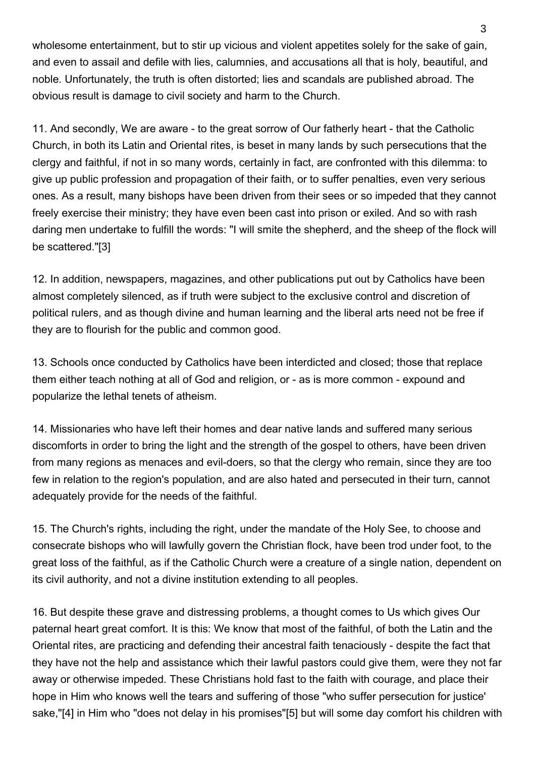wholesome entertainment, but to stir up vicious and violent appetites solely for the sake of gain, and even to assail and defile with lies, calumnies, and accusations all that is holy, beautiful, and noble. Unfortunately, the truth is often distorted; lies and scandals are published abroad. The obvious result is damage to civil society and harm to the Church.

11. And secondly, We are aware - to the great sorrow of Our fatherly heart - that the Catholic Church, in both its Latin and Oriental rites, is beset in many lands by such persecutions that the clergy and faithful, if not in so many words, certainly in fact, are confronted with this dilemma: to give up public profession and propagation of their faith, or to suffer penalties, even very serious ones. As a result, many bishops have been driven from their sees or so impeded that they cannot freely exercise their ministry; they have even been cast into prison or exiled. And so with rash daring men undertake to fulfill the words: "I will smite the shepherd, and the sheep of the flock will be scattered."[3]

12. In addition, newspapers, magazines, and other publications put out by Catholics have been almost completely silenced, as if truth were subject to the exclusive control and discretion of political rulers, and as though divine and human learning and the liberal arts need not be free if they are to flourish for the public and common good.

13. Schools once conducted by Catholics have been interdicted and closed; those that replace them either teach nothing at all of God and religion, or - as is more common - expound and popularize the lethal tenets of atheism.

14. Missionaries who have left their homes and dear native lands and suffered many serious discomforts in order to bring the light and the strength of the gospel to others, have been driven from many regions as menaces and evil-doers, so that the clergy who remain, since they are too few in relation to the region's population, and are also hated and persecuted in their turn, cannot adequately provide for the needs of the faithful.

15. The Church's rights, including the right, under the mandate of the Holy See, to choose and consecrate bishops who will lawfully govern the Christian flock, have been trod under foot, to the great loss of the faithful, as if the Catholic Church were a creature of a single nation, dependent on its civil authority, and not a divine institution extending to all peoples.

16. But despite these grave and distressing problems, a thought comes to Us which gives Our paternal heart great comfort. It is this: We know that most of the faithful, of both the Latin and the Oriental rites, are practicing and defending their ancestral faith tenaciously - despite the fact that they have not the help and assistance which their lawful pastors could give them, were they not far away or otherwise impeded. These Christians hold fast to the faith with courage, and place their hope in Him who knows well the tears and suffering of those "who suffer persecution for justice' sake,"[4] in Him who "does not delay in his promises"[5] but will some day comfort his children with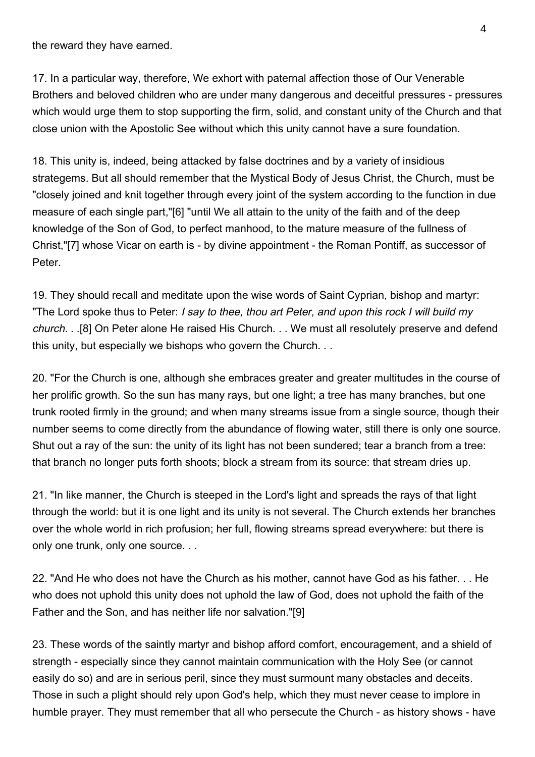the reward they have earned.

17. In a particular way, therefore, We exhort with paternal affection those of Our Venerable Brothers and beloved children who are under many dangerous and deceitful pressures - pressures which would urge them to stop supporting the firm, solid, and constant unity of the Church and that close union with the Apostolic See without which this unity cannot have a sure foundation.

18. This unity is, indeed, being attacked by false doctrines and by a variety of insidious strategems. But all should remember that the Mystical Body of Jesus Christ, the Church, must be "closely joined and knit together through every joint of the system according to the function in due measure of each single part,"[6] "until We all attain to the unity of the faith and of the deep knowledge of the Son of God, to perfect manhood, to the mature measure of the fullness of Christ,"[7] whose Vicar on earth is - by divine appointment - the Roman Pontiff, as successor of Peter.

19. They should recall and meditate upon the wise words of Saint Cyprian, bishop and martyr: "The Lord spoke thus to Peter: I say to thee, thou art Peter, and upon this rock I will build my church. . .[8] On Peter alone He raised His Church. . . We must all resolutely preserve and defend this unity, but especially we bishops who govern the Church. . .

20. "For the Church is one, although she embraces greater and greater multitudes in the course of her prolific growth. So the sun has many rays, but one light; a tree has many branches, but one trunk rooted firmly in the ground; and when many streams issue from a single source, though their number seems to come directly from the abundance of flowing water, still there is only one source. Shut out a ray of the sun: the unity of its light has not been sundered; tear a branch from a tree: that branch no longer puts forth shoots; block a stream from its source: that stream dries up.

21. "In like manner, the Church is steeped in the Lord's light and spreads the rays of that light through the world: but it is one light and its unity is not several. The Church extends her branches over the whole world in rich profusion; her full, flowing streams spread everywhere: but there is only one trunk, only one source. . .

22. "And He who does not have the Church as his mother, cannot have God as his father. . . He who does not uphold this unity does not uphold the law of God, does not uphold the faith of the Father and the Son, and has neither life nor salvation."[9]

23. These words of the saintly martyr and bishop afford comfort, encouragement, and a shield of strength - especially since they cannot maintain communication with the Holy See (or cannot easily do so) and are in serious peril, since they must surmount many obstacles and deceits. Those in such a plight should rely upon God's help, which they must never cease to implore in humble prayer. They must remember that all who persecute the Church - as history shows - have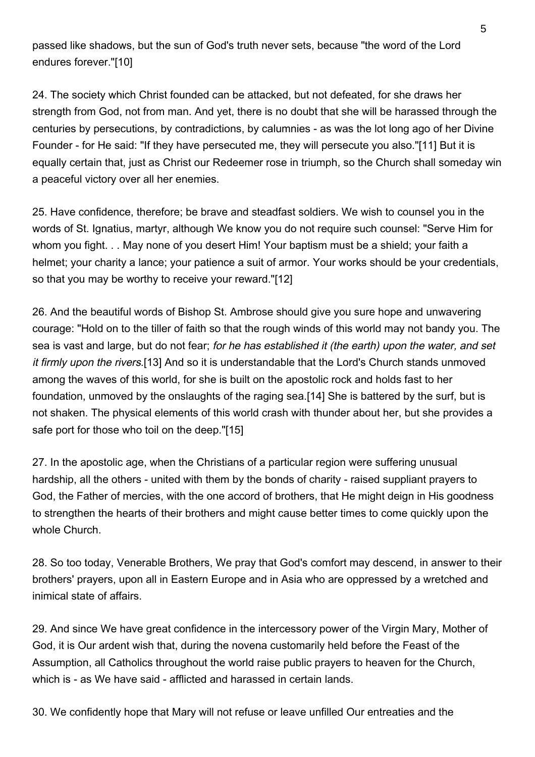passed like shadows, but the sun of God's truth never sets, because "the word of the Lord endures forever."[10]

24. The society which Christ founded can be attacked, but not defeated, for she draws her strength from God, not from man. And yet, there is no doubt that she will be harassed through the centuries by persecutions, by contradictions, by calumnies - as was the lot long ago of her Divine Founder - for He said: "If they have persecuted me, they will persecute you also."[11] But it is equally certain that, just as Christ our Redeemer rose in triumph, so the Church shall someday win a peaceful victory over all her enemies.

25. Have confidence, therefore; be brave and steadfast soldiers. We wish to counsel you in the words of St. Ignatius, martyr, although We know you do not require such counsel: "Serve Him for whom you fight. . . May none of you desert Him! Your baptism must be a shield; your faith a helmet; your charity a lance; your patience a suit of armor. Your works should be your credentials, so that you may be worthy to receive your reward."[12]

26. And the beautiful words of Bishop St. Ambrose should give you sure hope and unwavering courage: "Hold on to the tiller of faith so that the rough winds of this world may not bandy you. The sea is vast and large, but do not fear; for he has established it (the earth) upon the water, and set it firmly upon the rivers.[13] And so it is understandable that the Lord's Church stands unmoved among the waves of this world, for she is built on the apostolic rock and holds fast to her foundation, unmoved by the onslaughts of the raging sea.[14] She is battered by the surf, but is not shaken. The physical elements of this world crash with thunder about her, but she provides a safe port for those who toil on the deep."[15]

27. In the apostolic age, when the Christians of a particular region were suffering unusual hardship, all the others - united with them by the bonds of charity - raised suppliant prayers to God, the Father of mercies, with the one accord of brothers, that He might deign in His goodness to strengthen the hearts of their brothers and might cause better times to come quickly upon the whole Church.

28. So too today, Venerable Brothers, We pray that God's comfort may descend, in answer to their brothers' prayers, upon all in Eastern Europe and in Asia who are oppressed by a wretched and inimical state of affairs.

29. And since We have great confidence in the intercessory power of the Virgin Mary, Mother of God, it is Our ardent wish that, during the novena customarily held before the Feast of the Assumption, all Catholics throughout the world raise public prayers to heaven for the Church, which is - as We have said - afflicted and harassed in certain lands.

30. We confidently hope that Mary will not refuse or leave unfilled Our entreaties and the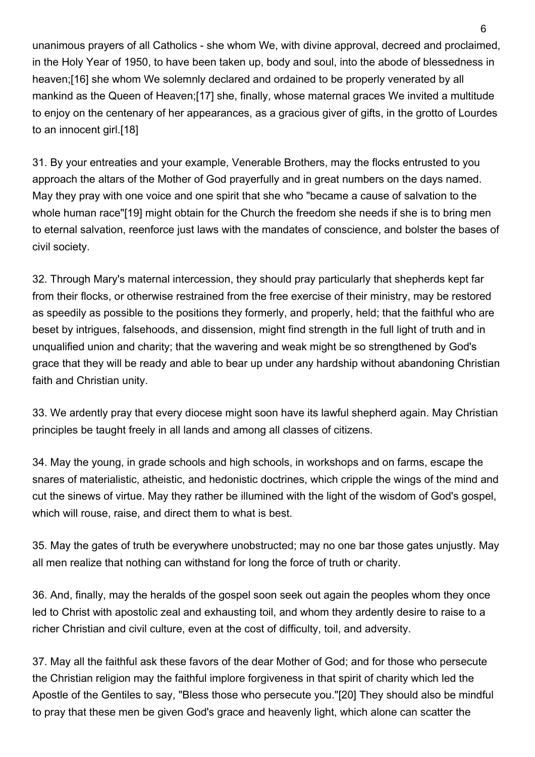unanimous prayers of all Catholics - she whom We, with divine approval, decreed and proclaimed, in the Holy Year of 1950, to have been taken up, body and soul, into the abode of blessedness in heaven;[16] she whom We solemnly declared and ordained to be properly venerated by all mankind as the Queen of Heaven;[17] she, finally, whose maternal graces We invited a multitude to enjoy on the centenary of her appearances, as a gracious giver of gifts, in the grotto of Lourdes to an innocent girl.[18]

31. By your entreaties and your example, Venerable Brothers, may the flocks entrusted to you approach the altars of the Mother of God prayerfully and in great numbers on the days named. May they pray with one voice and one spirit that she who "became a cause of salvation to the whole human race"[19] might obtain for the Church the freedom she needs if she is to bring men to eternal salvation, reenforce just laws with the mandates of conscience, and bolster the bases of civil society.

32. Through Mary's maternal intercession, they should pray particularly that shepherds kept far from their flocks, or otherwise restrained from the free exercise of their ministry, may be restored as speedily as possible to the positions they formerly, and properly, held; that the faithful who are beset by intrigues, falsehoods, and dissension, might find strength in the full light of truth and in unqualified union and charity; that the wavering and weak might be so strengthened by God's grace that they will be ready and able to bear up under any hardship without abandoning Christian faith and Christian unity.

33. We ardently pray that every diocese might soon have its lawful shepherd again. May Christian principles be taught freely in all lands and among all classes of citizens.

34. May the young, in grade schools and high schools, in workshops and on farms, escape the snares of materialistic, atheistic, and hedonistic doctrines, which cripple the wings of the mind and cut the sinews of virtue. May they rather be illumined with the light of the wisdom of God's gospel, which will rouse, raise, and direct them to what is best.

35. May the gates of truth be everywhere unobstructed; may no one bar those gates unjustly. May all men realize that nothing can withstand for long the force of truth or charity.

36. And, finally, may the heralds of the gospel soon seek out again the peoples whom they once led to Christ with apostolic zeal and exhausting toil, and whom they ardently desire to raise to a richer Christian and civil culture, even at the cost of difficulty, toil, and adversity.

37. May all the faithful ask these favors of the dear Mother of God; and for those who persecute the Christian religion may the faithful implore forgiveness in that spirit of charity which led the Apostle of the Gentiles to say, "Bless those who persecute you."[20] They should also be mindful to pray that these men be given God's grace and heavenly light, which alone can scatter the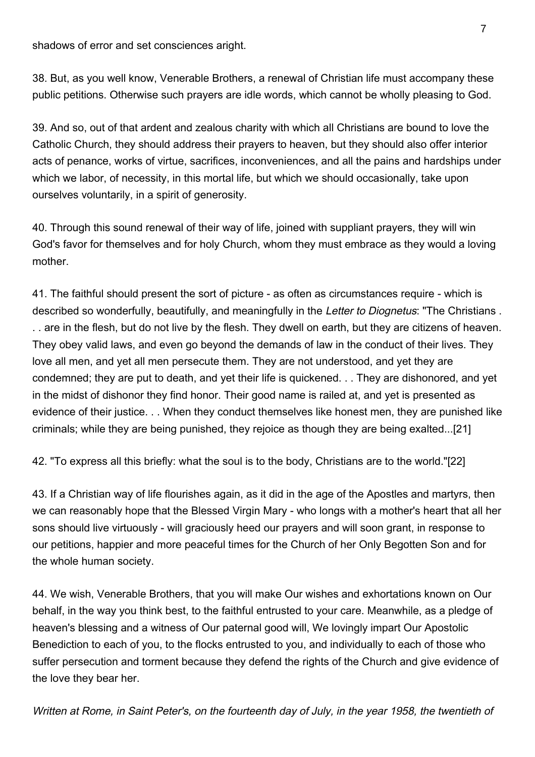shadows of error and set consciences aright.

38. But, as you well know, Venerable Brothers, a renewal of Christian life must accompany these public petitions. Otherwise such prayers are idle words, which cannot be wholly pleasing to God.

39. And so, out of that ardent and zealous charity with which all Christians are bound to love the Catholic Church, they should address their prayers to heaven, but they should also offer interior acts of penance, works of virtue, sacrifices, inconveniences, and all the pains and hardships under which we labor, of necessity, in this mortal life, but which we should occasionally, take upon ourselves voluntarily, in a spirit of generosity.

40. Through this sound renewal of their way of life, joined with suppliant prayers, they will win God's favor for themselves and for holy Church, whom they must embrace as they would a loving mother.

41. The faithful should present the sort of picture - as often as circumstances require - which is described so wonderfully, beautifully, and meaningfully in the Letter to Diognetus: "The Christians. . . are in the flesh, but do not live by the flesh. They dwell on earth, but they are citizens of heaven. They obey valid laws, and even go beyond the demands of law in the conduct of their lives. They love all men, and yet all men persecute them. They are not understood, and yet they are condemned; they are put to death, and yet their life is quickened. . . They are dishonored, and yet in the midst of dishonor they find honor. Their good name is railed at, and yet is presented as evidence of their justice. . . When they conduct themselves like honest men, they are punished like criminals; while they are being punished, they rejoice as though they are being exalted...[21]

42. "To express all this briefly: what the soul is to the body, Christians are to the world."[22]

43. If a Christian way of life flourishes again, as it did in the age of the Apostles and martyrs, then we can reasonably hope that the Blessed Virgin Mary - who longs with a mother's heart that all her sons should live virtuously - will graciously heed our prayers and will soon grant, in response to our petitions, happier and more peaceful times for the Church of her Only Begotten Son and for the whole human society.

44. We wish, Venerable Brothers, that you will make Our wishes and exhortations known on Our behalf, in the way you think best, to the faithful entrusted to your care. Meanwhile, as a pledge of heaven's blessing and a witness of Our paternal good will, We lovingly impart Our Apostolic Benediction to each of you, to the flocks entrusted to you, and individually to each of those who suffer persecution and torment because they defend the rights of the Church and give evidence of the love they bear her.

Written at Rome, in Saint Peter's, on the fourteenth day of July, in the year 1958, the twentieth of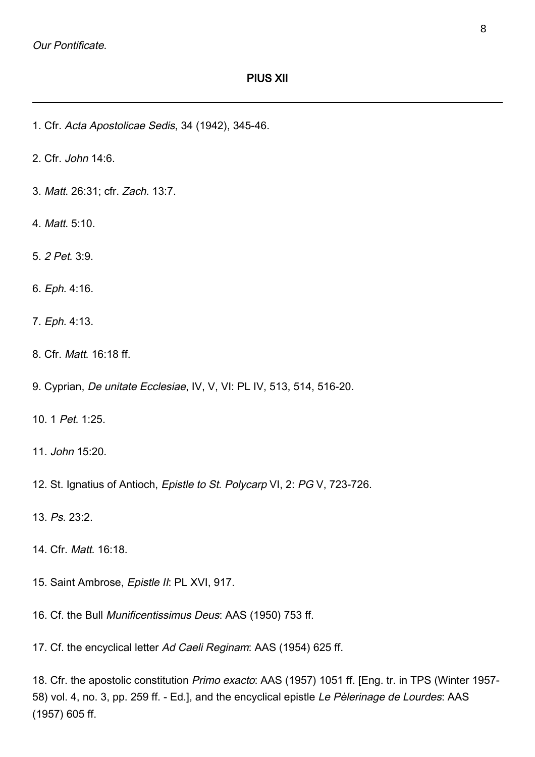- 1. Cfr. Acta Apostolicae Sedis, 34 (1942), 345-46.
- 2. Cfr. John 14:6.
- 3. Matt. 26:31; cfr. Zach. 13:7.
- 4. Matt. 5:10.
- 5. 2 Pet. 3:9.
- 6. Eph. 4:16.
- 7. Eph. 4:13.
- 8. Cfr. Matt. 16:18 ff.
- 9. Cyprian, De unitate Ecclesiae, IV, V, VI: PL IV, 513, 514, 516-20.
- 10. 1 Pet. 1:25.
- 11. John 15:20.
- 12. St. Ignatius of Antioch, Epistle to St. Polycarp VI, 2: PG V, 723-726.
- 13. Ps. 23:2.
- 14. Cfr. Matt. 16:18.
- 15. Saint Ambrose, Epistle II: PL XVI, 917.
- 16. Cf. the Bull Munificentissimus Deus: AAS (1950) 753 ff.
- 17. Cf. the encyclical letter Ad Caeli Reginam: AAS (1954) 625 ff.

18. Cfr. the apostolic constitution Primo exacto: AAS (1957) 1051 ff. [Eng. tr. in TPS (Winter 1957- 58) vol. 4, no. 3, pp. 259 ff. - Ed.], and the encyclical epistle Le Pèlerinage de Lourdes: AAS (1957) 605 ff.